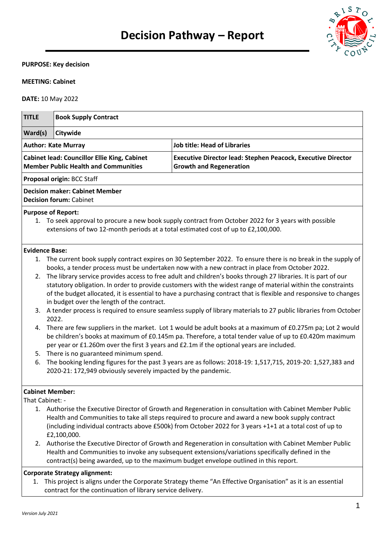

### **PURPOSE: Key decision**

# **MEETING: Cabinet**

**DATE:** 10 May 2022

| <b>TITLE</b>               | <b>Book Supply Contract</b>                                                                                                                                      |                                                                                                                                                                                                                                                                                                                                                                                                                                                                                                                                                                                                                                                                                                                                                                                                                                                                                                                                                                                                                                                                                                                              |  |  |
|----------------------------|------------------------------------------------------------------------------------------------------------------------------------------------------------------|------------------------------------------------------------------------------------------------------------------------------------------------------------------------------------------------------------------------------------------------------------------------------------------------------------------------------------------------------------------------------------------------------------------------------------------------------------------------------------------------------------------------------------------------------------------------------------------------------------------------------------------------------------------------------------------------------------------------------------------------------------------------------------------------------------------------------------------------------------------------------------------------------------------------------------------------------------------------------------------------------------------------------------------------------------------------------------------------------------------------------|--|--|
| Ward(s)                    | Citywide                                                                                                                                                         |                                                                                                                                                                                                                                                                                                                                                                                                                                                                                                                                                                                                                                                                                                                                                                                                                                                                                                                                                                                                                                                                                                                              |  |  |
| <b>Author: Kate Murray</b> |                                                                                                                                                                  | <b>Job title: Head of Libraries</b>                                                                                                                                                                                                                                                                                                                                                                                                                                                                                                                                                                                                                                                                                                                                                                                                                                                                                                                                                                                                                                                                                          |  |  |
|                            | <b>Cabinet lead: Councillor Ellie King, Cabinet</b><br><b>Member Public Health and Communities</b>                                                               | Executive Director lead: Stephen Peacock, Executive Director<br><b>Growth and Regeneration</b>                                                                                                                                                                                                                                                                                                                                                                                                                                                                                                                                                                                                                                                                                                                                                                                                                                                                                                                                                                                                                               |  |  |
|                            | Proposal origin: BCC Staff                                                                                                                                       |                                                                                                                                                                                                                                                                                                                                                                                                                                                                                                                                                                                                                                                                                                                                                                                                                                                                                                                                                                                                                                                                                                                              |  |  |
|                            | <b>Decision maker: Cabinet Member</b><br><b>Decision forum: Cabinet</b>                                                                                          |                                                                                                                                                                                                                                                                                                                                                                                                                                                                                                                                                                                                                                                                                                                                                                                                                                                                                                                                                                                                                                                                                                                              |  |  |
|                            | <b>Purpose of Report:</b>                                                                                                                                        | 1. To seek approval to procure a new book supply contract from October 2022 for 3 years with possible<br>extensions of two 12-month periods at a total estimated cost of up to £2,100,000.                                                                                                                                                                                                                                                                                                                                                                                                                                                                                                                                                                                                                                                                                                                                                                                                                                                                                                                                   |  |  |
| <b>Evidence Base:</b>      |                                                                                                                                                                  |                                                                                                                                                                                                                                                                                                                                                                                                                                                                                                                                                                                                                                                                                                                                                                                                                                                                                                                                                                                                                                                                                                                              |  |  |
| 2.<br>3.<br>4.<br>6.       | in budget over the length of the contract.<br>2022.<br>5. There is no guaranteed minimum spend.<br>2020-21: 172,949 obviously severely impacted by the pandemic. | 1. The current book supply contract expires on 30 September 2022. To ensure there is no break in the supply of<br>books, a tender process must be undertaken now with a new contract in place from October 2022.<br>The library service provides access to free adult and children's books through 27 libraries. It is part of our<br>statutory obligation. In order to provide customers with the widest range of material within the constraints<br>of the budget allocated, it is essential to have a purchasing contract that is flexible and responsive to changes<br>A tender process is required to ensure seamless supply of library materials to 27 public libraries from October<br>There are few suppliers in the market. Lot 1 would be adult books at a maximum of £0.275m pa; Lot 2 would<br>be children's books at maximum of £0.145m pa. Therefore, a total tender value of up to £0.420m maximum<br>per year or £1.260m over the first 3 years and £2.1m if the optional years are included.<br>The booking lending figures for the past 3 years are as follows: 2018-19: 1,517,715, 2019-20: 1,527,383 and |  |  |
| That Cabinet: -            | <b>Cabinet Member:</b><br>£2,100,000.                                                                                                                            | 1. Authorise the Executive Director of Growth and Regeneration in consultation with Cabinet Member Public<br>Health and Communities to take all steps required to procure and award a new book supply contract<br>(including individual contracts above £500k) from October 2022 for 3 years +1+1 at a total cost of up to                                                                                                                                                                                                                                                                                                                                                                                                                                                                                                                                                                                                                                                                                                                                                                                                   |  |  |

2. Authorise the Executive Director of Growth and Regeneration in consultation with Cabinet Member Public Health and Communities to invoke any subsequent extensions/variations specifically defined in the contract(s) being awarded, up to the maximum budget envelope outlined in this report.

### **Corporate Strategy alignment:**

1. This project is aligns under the Corporate Strategy theme "An Effective Organisation" as it is an essential contract for the continuation of library service delivery.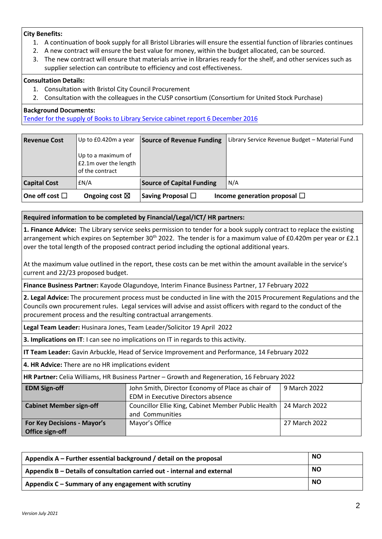## **City Benefits:**

- 1. A continuation of book supply for all Bristol Libraries will ensure the essential function of libraries continues
- 2. A new contract will ensure the best value for money, within the budget allocated, can be sourced.
- 3. The new contract will ensure that materials arrive in libraries ready for the shelf, and other services such as supplier selection can contribute to efficiency and cost effectiveness.

## **Consultation Details:**

- 1. Consultation with Bristol City Council Procurement
- 2. Consultation with the colleagues in the CUSP consortium (Consortium for United Stock Purchase)

## **Background Documents:**

[Tender for the supply of Books to Library Service cabinet report 6 December 2016](https://democracy.bristol.gov.uk/documents/s9312/09a%20Tender%20for%20the%20supply%20of%20Books%20to%20Library%20Service%20exec%20summary.pdf)

| <b>Revenue Cost</b>    | Up to £0.420m a year                                           | <b>Source of Revenue Funding</b> | Library Service Revenue Budget – Material Fund |
|------------------------|----------------------------------------------------------------|----------------------------------|------------------------------------------------|
|                        | Up to a maximum of<br>£2.1m over the length<br>of the contract |                                  |                                                |
| <b>Capital Cost</b>    | £N/A                                                           | <b>Source of Capital Funding</b> | N/A                                            |
| One off cost $\square$ | Ongoing cost $\boxtimes$                                       | Saving Proposal $\Box$           | Income generation proposal $\Box$              |

# **Required information to be completed by Financial/Legal/ICT/ HR partners:**

**1. Finance Advice:** The Library service seeks permission to tender for a book supply contract to replace the existing arrangement which expires on September 30<sup>th</sup> 2022. The tender is for a maximum value of £0.420m per year or £2.1 over the total length of the proposed contract period including the optional additional years.

At the maximum value outlined in the report, these costs can be met within the amount available in the service's current and 22/23 proposed budget.

**Finance Business Partner:** Kayode Olagundoye, Interim Finance Business Partner, 17 February 2022

**2. Legal Advice:** The procurement process must be conducted in line with the 2015 Procurement Regulations and the Councils own procurement rules. Legal services will advise and assist officers with regard to the conduct of the procurement process and the resulting contractual arrangements.

**Legal Team Leader:** Husinara Jones, Team Leader/Solicitor 19 April 2022

**3. Implications on IT**: I can see no implications on IT in regards to this activity.

**IT Team Leader:** Gavin Arbuckle, Head of Service Improvement and Performance, 14 February 2022

**4. HR Advice:** There are no HR implications evident

**HR Partner:** Celia Williams, HR Business Partner – Growth and Regeneration, 16 February 2022

| <b>EDM Sign-off</b>                | John Smith, Director Economy of Place as chair of                   | 9 March 2022  |
|------------------------------------|---------------------------------------------------------------------|---------------|
|                                    | EDM in Executive Directors absence                                  |               |
| <b>Cabinet Member sign-off</b>     | Councillor Ellie King, Cabinet Member Public Health   24 March 2022 |               |
|                                    | and Communities                                                     |               |
| <b>For Key Decisions - Mayor's</b> | Mayor's Office                                                      | 27 March 2022 |
| Office sign-off                    |                                                                     |               |

| Appendix $A$ – Further essential background / detail on the proposal     | <b>NO</b> |
|--------------------------------------------------------------------------|-----------|
| Appendix B – Details of consultation carried out - internal and external | <b>NO</b> |
| Appendix C - Summary of any engagement with scrutiny                     | <b>NO</b> |